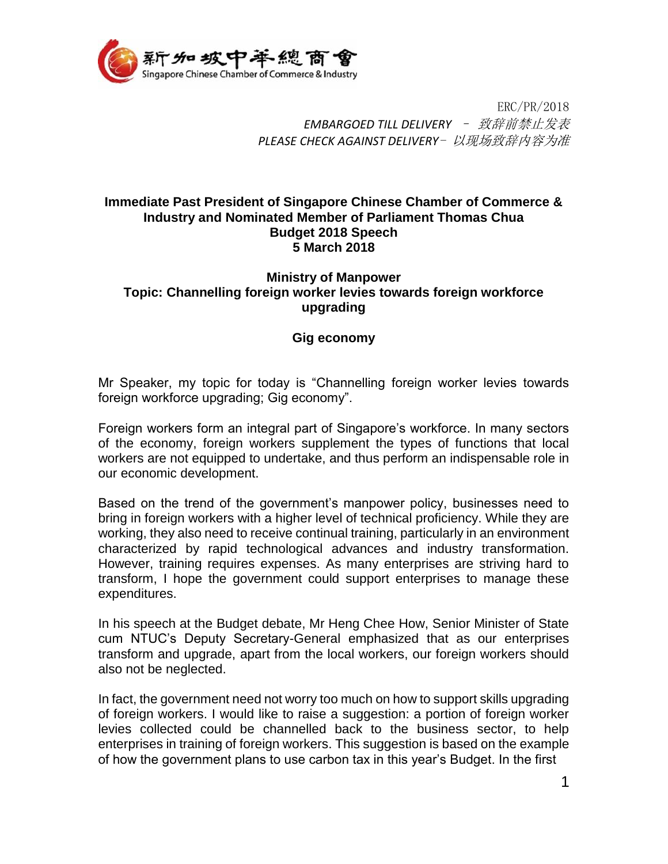

ERC/PR/2018 *EMBARGOED TILL DELIVERY* – 致辞前禁止发表 *PLEASE CHECK AGAINST DELIVERY*- 以现场致辞内容为准

## **Immediate Past President of Singapore Chinese Chamber of Commerce & Industry and Nominated Member of Parliament Thomas Chua Budget 2018 Speech 5 March 2018**

## **Ministry of Manpower Topic: Channelling foreign worker levies towards foreign workforce upgrading**

## **Gig economy**

Mr Speaker, my topic for today is "Channelling foreign worker levies towards foreign workforce upgrading; Gig economy".

Foreign workers form an integral part of Singapore's workforce. In many sectors of the economy, foreign workers supplement the types of functions that local workers are not equipped to undertake, and thus perform an indispensable role in our economic development.

Based on the trend of the government's manpower policy, businesses need to bring in foreign workers with a higher level of technical proficiency. While they are working, they also need to receive continual training, particularly in an environment characterized by rapid technological advances and industry transformation. However, training requires expenses. As many enterprises are striving hard to transform, I hope the government could support enterprises to manage these expenditures.

In his speech at the Budget debate, Mr Heng Chee How, Senior Minister of State cum NTUC's Deputy Secretary-General emphasized that as our enterprises transform and upgrade, apart from the local workers, our foreign workers should also not be neglected.

In fact, the government need not worry too much on how to support skills upgrading of foreign workers. I would like to raise a suggestion: a portion of foreign worker levies collected could be channelled back to the business sector, to help enterprises in training of foreign workers. This suggestion is based on the example of how the government plans to use carbon tax in this year's Budget. In the first